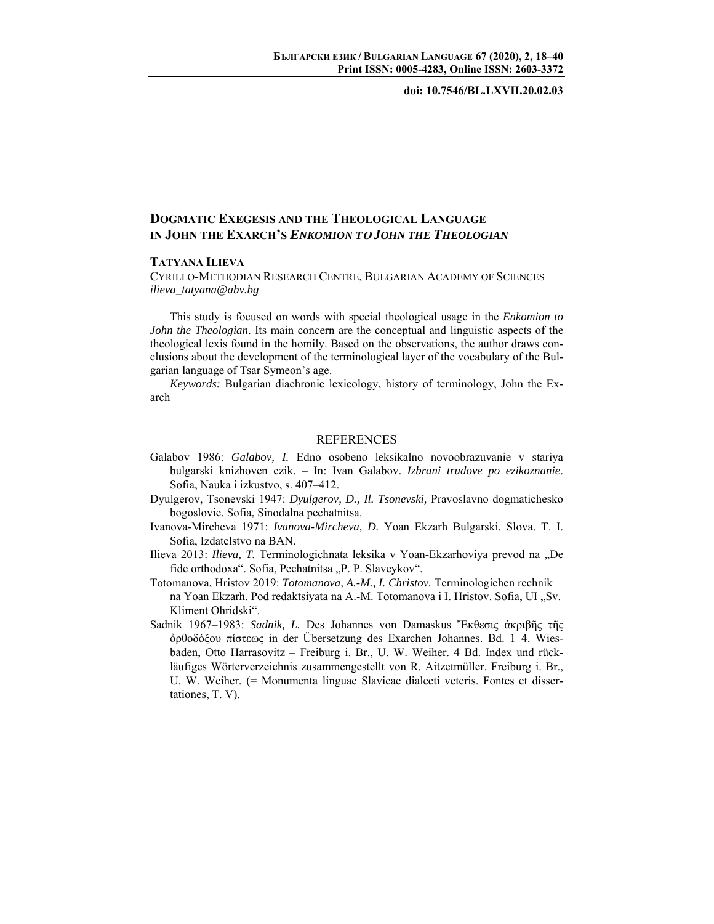### **doi: 10.7546/BL.LXVII.20.02.03**

# **DOGMATIC EXEGESIS AND THE THEOLOGICAL LANGUAGE IN JOHN THE EXARCH'S** *ENKOMION T***<sup>O</sup>** *JOHN THE THEOLOGIAN*

## **TATYANA ILIEVA**

CYRILLO-METHODIAN RESEARCH CENTRE, BULGARIAN ACADEMY OF SCIENCES *ilieva\_tatyana@abv.bg* 

This study is focused on words with special theological usage in the *Enkomion to John the Theologian*. Its main concern are the conceptual and linguistic aspects of the theological lexis found in the homily. Based on the observations, the author draws conclusions about the development of the terminological layer of the vocabulary of the Bulgarian language of Tsar Symeon's age.

*Keywords:* Bulgarian diachronic lexicology, history of terminology, John the Exarch

#### REFERENCES

- Galabov 1986: *Galabov, I.* Edno osobeno leksikalno novoobrazuvanie v stariya bulgarski knizhoven ezik. – In: Ivan Galabov. *Izbrani trudove po ezikoznanie*. Sofia, Nauka i izkustvo, s. 407–412.
- Dyulgerov, Tsonevski 1947: *Dyulgerov, D., Il. Tsonevski,* Pravoslavno dogmatichesko bogoslovie. Sofia, Sinodalna pechatnitsa.
- Ivanova-Mircheva 1971: *Ivanova-Mircheva, D.* Yoan Ekzarh Bulgarski. Slova. T. I. Sofia, Izdatelstvo na BAN.
- Ilieva 2013: *Ilieva, T.* Terminologichnata leksika v Yoan-Ekzarhoviya prevod na "De fide orthodoxa". Sofia, Pechatnitsa "P. P. Slaveykov".
- Totomanova, Hristov 2019: *Totomanova, A.-M., I. Christov.* Terminologichen rechnik na Yoan Ekzarh. Pod redaktsiyata na A.-M. Totomanova i I. Hristov. Sofia, UI "Sv. Kliment Ohridski".
- Sadnik 1967–1983: *Sadnik, L.* Des Johannes von Damaskus Ἔκθεσις ἀκριβῆς τῆς ὀρθοδόξου πίστεως in der Übersetzung des Exarchen Johannes. Bd. 1–4. Wiesbaden, Otto Harrasovitz – Freiburg i. Br., U. W. Weiher. 4 Bd. Index und rückläufiges Wörterverzeichnis zusammengestellt von R. Aitzetmüller. Freiburg i. Br., U. W. Weiher. (= Monumenta linguae Slavicae dialecti veteris. Fontes et dissertationes, T. V).